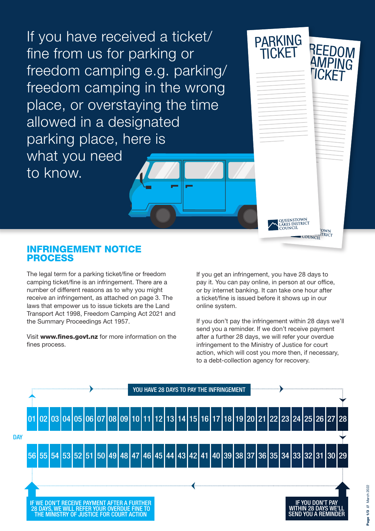If you have received a ticket/ fine from us for parking or freedom camping e.g. parking/ freedom camping in the wrong place, or overstaying the time allowed in a designated parking place, here is what you need to know.

#### INFRINGEMENT NOTICE PROCESS

The legal term for a parking ticket/fine or freedom camping ticket/fine is an infringement. There are a number of different reasons as to why you might receive an infringement, as attached on page 3. The laws that empower us to issue tickets are the Land Transport Act 1998, Freedom Camping Act 2021 and the Summary Proceedings Act 1957.

Visit www.fines.govt.nz for more information on the fines process.

If you get an infringement, you have 28 days to pay it. You can pay online, in person at our office, or by internet banking. It can take one hour after a ticket/fine is issued before it shows up in our online system.

QUEENSTOWN<br>Lakes district<br>Council

**OWN**<br>**JTRICT** 

COUNCH

REEDOM AMPING **TICKET** 

PARKING CKET

If you don't pay the infringement within 28 days we'll send you a reminder. If we don't receive payment after a further 28 days, we will refer your overdue infringement to the Ministry of Justice for court action, which will cost you more then, if necessary, to a debt-collection agency for recovery.

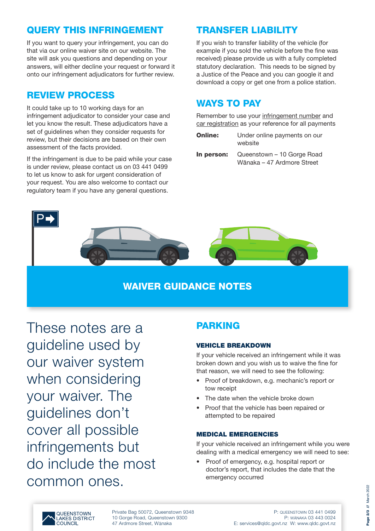## QUERY THIS INFRINGEMENT

If you want to query your infringement, you can do that via our online waiver site on our website. The site will ask you questions and depending on your answers, will either decline your request or forward it onto our infringement adjudicators for further review.

# REVIEW PROCESS

It could take up to 10 working days for an infringement adjudicator to consider your case and let you know the result. These adjudicators have a set of guidelines when they consider requests for review, but their decisions are based on their own assessment of the facts provided.

If the infringement is due to be paid while your case is under review, please contact us on 03 441 0499 to let us know to ask for urgent consideration of your request. You are also welcome to contact our regulatory team if you have any general questions.

# TRANSFER LIABILITY

If you wish to transfer liability of the vehicle (for example if you sold the vehicle before the fine was received) please provide us with a fully completed statutory declaration. This needs to be signed by a Justice of the Peace and you can google it and download a copy or get one from a police station.

# WAYS TO PAY

Remember to use your infringement number and car registration as your reference for all payments

- **Online:** Under online payments on our website
- In person: Queenstown 10 Gorge Road Wānaka – 47 Ardmore Street



### WAIVER GUIDANCE NOTES

These notes are a guideline used by our waiver system when considering your waiver. The guidelines don't cover all possible infringements but do include the most common ones.

## **PARKING**

#### VEHICLE BREAKDOWN

If your vehicle received an infringement while it was broken down and you wish us to waive the fine for that reason, we will need to see the following:

- Proof of breakdown, e.g. mechanic's report or tow receipt
- The date when the vehicle broke down
- Proof that the vehicle has been repaired or attempted to be repaired

#### MEDICAL EMERGENCIES

If your vehicle received an infringement while you were dealing with a medical emergency we will need to see:

• Proof of emergency, e.g. hospital report or doctor's report, that includes the date that the emergency occurred



Private Bag 50072, Queenstown 9348 10 Gorge Road, Queenstown 9300 47 Ardmore Street, Wānaka